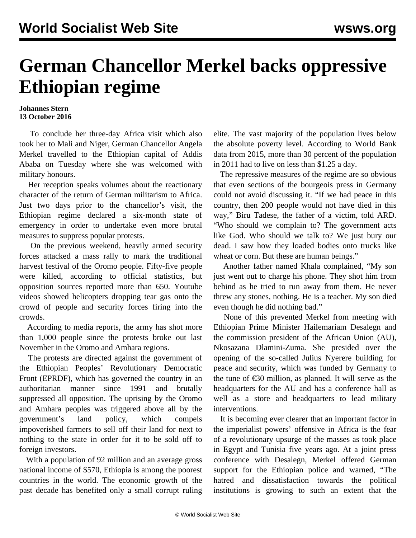## **German Chancellor Merkel backs oppressive Ethiopian regime**

## **Johannes Stern 13 October 2016**

 To conclude her three-day Africa visit which also took her to Mali and Niger, German Chancellor Angela Merkel travelled to the Ethiopian capital of Addis Ababa on Tuesday where she was welcomed with military honours.

 Her reception speaks volumes about the reactionary character of the return of German militarism to Africa. Just two days prior to the chancellor's visit, the Ethiopian regime declared a six-month state of emergency in order to undertake even more brutal measures to suppress popular protests.

 On the previous weekend, heavily armed security forces attacked a mass rally to mark the traditional harvest festival of the Oromo people. Fifty-five people were killed, according to official statistics, but opposition sources reported more than 650. Youtube videos showed helicopters dropping tear gas onto the crowd of people and security forces firing into the crowds.

 According to media reports, the army has shot more than 1,000 people since the protests broke out last November in the Oromo and Amhara regions.

 The protests are directed against the government of the Ethiopian Peoples' Revolutionary Democratic Front (EPRDF), which has governed the country in an authoritarian manner since 1991 and brutally suppressed all opposition. The uprising by the Oromo and Amhara peoples was triggered above all by the government's land policy, which compels impoverished farmers to sell off their land for next to nothing to the state in order for it to be sold off to foreign investors.

 With a population of 92 million and an average gross national income of \$570, Ethiopia is among the poorest countries in the world. The economic growth of the past decade has benefited only a small corrupt ruling elite. The vast majority of the population lives below the absolute poverty level. According to World Bank data from 2015, more than 30 percent of the population in 2011 had to live on less than \$1.25 a day.

 The repressive measures of the regime are so obvious that even sections of the bourgeois press in Germany could not avoid discussing it. "If we had peace in this country, then 200 people would not have died in this way," Biru Tadese, the father of a victim, told ARD. "Who should we complain to? The government acts like God. Who should we talk to? We just bury our dead. I saw how they loaded bodies onto trucks like wheat or corn. But these are human beings."

 Another father named Khala complained, "My son just went out to charge his phone. They shot him from behind as he tried to run away from them. He never threw any stones, nothing. He is a teacher. My son died even though he did nothing bad."

 None of this prevented Merkel from meeting with Ethiopian Prime Minister Hailemariam Desalegn and the commission president of the African Union (AU), Nkosazana Dlamini-Zuma. She presided over the opening of the so-called Julius Nyerere building for peace and security, which was funded by Germany to the tune of  $\epsilon$ 30 million, as planned. It will serve as the headquarters for the AU and has a conference hall as well as a store and headquarters to lead military interventions.

 It is becoming ever clearer that an important factor in the imperialist powers' offensive in Africa is the fear of a revolutionary upsurge of the masses as took place in Egypt and Tunisia five years ago. At a joint press conference with Desalegn, Merkel offered German support for the Ethiopian police and warned, "The hatred and dissatisfaction towards the political institutions is growing to such an extent that the